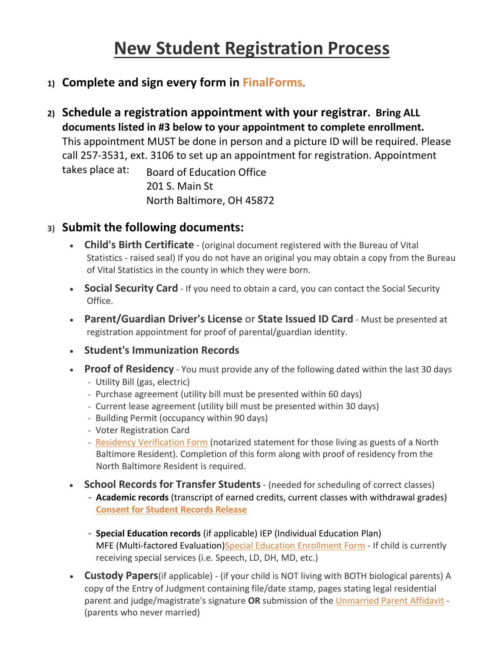## **New Student Registration Process**

- **1) Complete and sign every form in [FinalForms](https://northbaltimore-oh.finalforms.com/)**.
- **2) Schedule a registration appointment with your registrar. Bring ALL documents listed in #3 below to your appointment to complete enrollment.** This appointment MUST be done in person and a picture ID will be required. Please call 257-3531, ext. 3106 to set up an appointment for registration. Appointment takes place at: Board of Education Office 201 S. Main St North Baltimore, OH 45872

## **3) Submit the following documents:**

- **Child's Birth Certificate** (original document registered with the Bureau of Vital Statistics - raised seal) If you do not have an original you may obtain a copy from the Bureau of Vital Statistics in the county in which they were born.
- **Social Security Card** If you need to obtain a card, you can contact the Social Security Office.
- **Parent/Guardian Driver's License** or **State Issued ID Card** Must be presented at registration appointment for proof of parental/guardian identity.
- **Student's Immunization Records**
- **Proof of Residency** You must provide any of the following dated within the last 30 days
	- Utility Bill (gas, electric)
	- Purchase agreement (utility bill must be presented within 60 days)
	- Current lease agreement (utility bill must be presented within 30 days)
	- Building Permit (occupancy within 90 days)
	- Voter Registration Card
	- [Residency Verification Form](https://northbaltimore-oh.finalforms.com/documents/bfbe12b2-8388-47ed-a532-ec11f9b9bc10/download) (notarized statement for those living as guests of a North Baltimore Resident). Completion of this form along with proof of residency from the North Baltimore Resident is required.
- **School Records for Transfer Students** (needed for scheduling of correct classes)
	- **Academic records** (transcript of earned credits, current classes with withdrawal grades) **[Consent for Student Records Release](https://northbaltimore-oh.finalforms.com/documents/b9550af7-4af4-43d6-96a7-3cbcb9ce9cc8/download)**
	- **Special Education records** (if applicable) IEP (Individual Education Plan) MFE (Multi-factored Evaluation[\)Special Education Enrollment Form](https://northbaltimore-oh.finalforms.com/documents/41cd4682-b507-4d4a-be54-7da0fadccb14/download) - If child is currently receiving special services (i.e. Speech, LD, DH, MD, etc.)
- **Custody Papers**(if applicable) (if your child is NOT living with BOTH biological parents) A copy of the Entry of Judgment containing file/date stamp, pages stating legal residential parent and judge/magistrate's signature **OR** submission of the [Unmarried Parent Affidavit](https://northbaltimore-oh.finalforms.com/documents/f50baa73-e2c9-47c0-8daa-b11be191dca1/download) - (parents who never married)